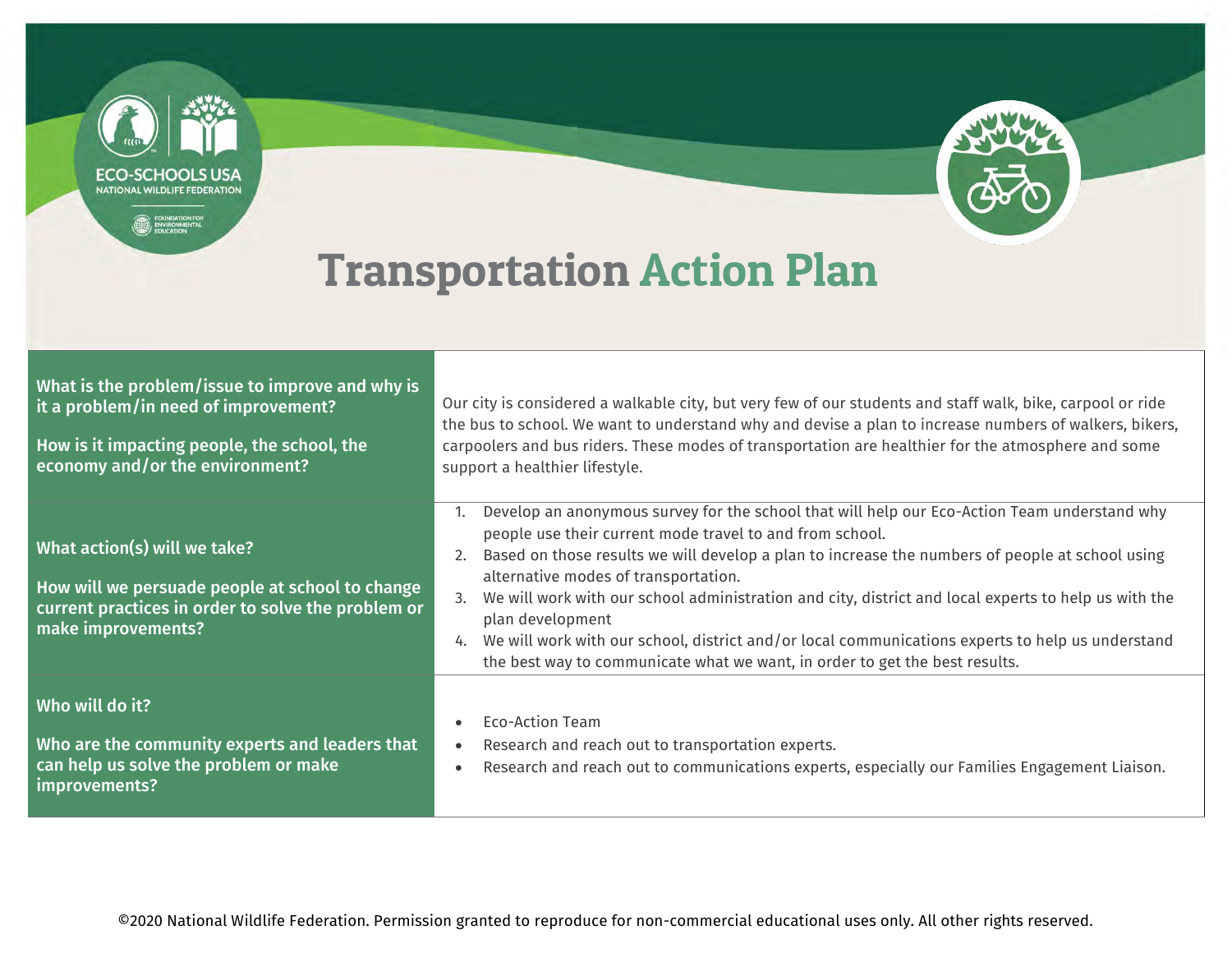

| What is the problem/issue to improve and why is<br>it a problem/in need of improvement?<br>How is it impacting people, the school, the<br>economy and/or the environment? | Our city is considered a walkable city, but very few of our students and staff walk, bike, carpool or ride<br>the bus to school. We want to understand why and devise a plan to increase numbers of walkers, bikers,<br>carpoolers and bus riders. These modes of transportation are healthier for the atmosphere and some<br>support a healthier lifestyle.                                                                                                                                                                                                                                                                   |
|---------------------------------------------------------------------------------------------------------------------------------------------------------------------------|--------------------------------------------------------------------------------------------------------------------------------------------------------------------------------------------------------------------------------------------------------------------------------------------------------------------------------------------------------------------------------------------------------------------------------------------------------------------------------------------------------------------------------------------------------------------------------------------------------------------------------|
| What action(s) will we take?<br>How will we persuade people at school to change<br>current practices in order to solve the problem or<br>make improvements?               | Develop an anonymous survey for the school that will help our Eco-Action Team understand why<br>people use their current mode travel to and from school.<br>Based on those results we will develop a plan to increase the numbers of people at school using<br>2.<br>alternative modes of transportation.<br>We will work with our school administration and city, district and local experts to help us with the<br>plan development<br>We will work with our school, district and/or local communications experts to help us understand<br>4.<br>the best way to communicate what we want, in order to get the best results. |
| Who will do it?<br>Who are the community experts and leaders that<br>can help us solve the problem or make<br>improvements?                                               | Eco-Action Team<br>$\bullet$<br>Research and reach out to transportation experts.<br>$\bullet$<br>Research and reach out to communications experts, especially our Families Engagement Liaison.<br>$\bullet$                                                                                                                                                                                                                                                                                                                                                                                                                   |